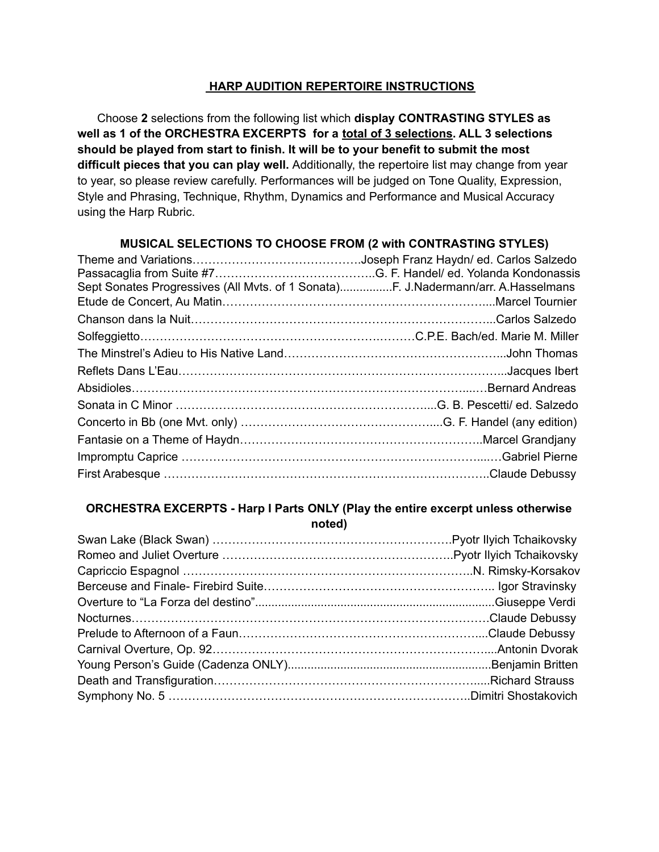### **HARP AUDITION REPERTOIRE INSTRUCTIONS**

Choose **2** selections from the following list which **display CONTRASTING STYLES as well as 1 of the ORCHESTRA EXCERPTS for a total of 3 selections. ALL 3 selections should be played from start to finish. It will be to your benefit to submit the most difficult pieces that you can play well.** Additionally, the repertoire list may change from year to year, so please review carefully. Performances will be judged on Tone Quality, Expression, Style and Phrasing, Technique, Rhythm, Dynamics and Performance and Musical Accuracy using the Harp Rubric.

## **MUSICAL SELECTIONS TO CHOOSE FROM (2 with CONTRASTING STYLES)**

| Sept Sonates Progressives (All Mvts. of 1 Sonata)F. J.Nadermann/arr. A.Hasselmans |
|-----------------------------------------------------------------------------------|
|                                                                                   |
|                                                                                   |
|                                                                                   |
|                                                                                   |
|                                                                                   |
|                                                                                   |
|                                                                                   |
|                                                                                   |
|                                                                                   |
|                                                                                   |
|                                                                                   |
|                                                                                   |

#### **ORCHESTRA EXCERPTS - Harp I Parts ONLY (Play the entire excerpt unless otherwise noted)**